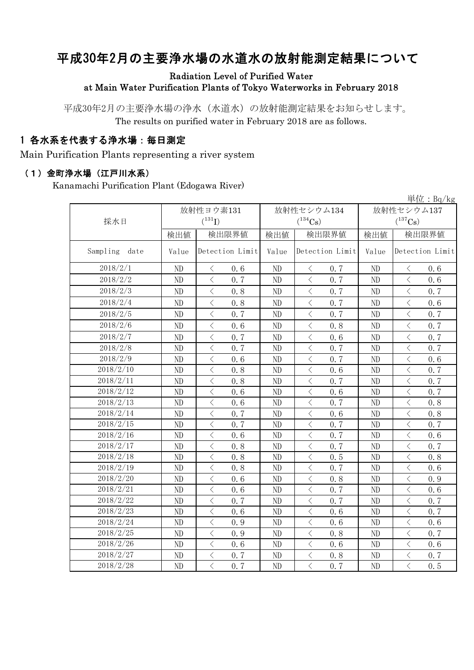# 平成30年2月の主要浄水場の水道水の放射能測定結果について

### Radiation Level of Purified Water at Main Water Purification Plants of Tokyo Waterworks in February 2018

平成30年2月の主要浄水場の浄水(水道水)の放射能測定結果をお知らせします。 The results on purified water in February 2018 are as follows.

## 1 各水系を代表する浄水場:毎日測定

Main Purification Plants representing a river system

#### (1)金町浄水場(江戸川水系)

Kanamachi Purification Plant (Edogawa River)

|                  |                |                                                  |       |                                                 |                | $\frac{\dot{\mathbb{H}}$ 位: Bq/kg                |  |
|------------------|----------------|--------------------------------------------------|-------|-------------------------------------------------|----------------|--------------------------------------------------|--|
|                  |                | 放射性ヨウ素131                                        |       | 放射性セシウム134                                      | 放射性セシウム137     |                                                  |  |
| 採水日              |                | $(^{131}I)$                                      |       | $(^{134}Cs)$                                    | $(^{137}Cs)$   |                                                  |  |
|                  | 検出値            | 検出限界値                                            | 検出値   | 検出限界値                                           | 検出値            | 検出限界値                                            |  |
| Sampling<br>date | Value          | Detection Limit                                  | Value | Detection Limit                                 | Value          | Detection Limit                                  |  |
| 2018/2/1         | N <sub>D</sub> | $\langle$<br>0, 6                                | ND    | $\langle$<br>0.7                                | N <sub>D</sub> | $\langle$<br>0, 6                                |  |
| 2018/2/2         | ND             | $\langle$<br>0.7                                 | ND    | 0.7<br>$\langle$                                | ND             | $\lt$<br>0.6                                     |  |
| 2018/2/3         | ND             | $\langle$<br>0, 8                                | ND    | $\lt$<br>0.7                                    | ND             | $\lt$<br>0.7                                     |  |
| 2018/2/4         | ND             | $\langle$<br>0.8                                 | ND    | $\langle$<br>0.7                                | ND             | $\langle$<br>0.6                                 |  |
| 2018/2/5         | ND             | $\langle$<br>0.7                                 | ND    | $\langle$<br>0.7                                | ND             | $\langle$<br>0.7                                 |  |
| 2018/2/6         | ND             | $\langle$<br>0.6                                 | ND    | 0.8<br>$\langle$                                | ND             | $\langle$<br>0.7                                 |  |
| 2018/2/7         | ND             | $\lt$<br>0.7                                     | ND    | $\, \zeta \,$<br>0.6                            | ND             | $\, \zeta \,$<br>0.7                             |  |
| 2018/2/8         | ND             | $\overline{\left\langle \right\rangle }$<br>0.7  | ND    | $\langle$<br>0.7                                | N <sub>D</sub> | $\langle$<br>0.7                                 |  |
| 2018/2/9         | ND             | $\lt$<br>0, 6                                    | ND    | $\,$ $\,$ $\,$<br>0.7                           | ND             | $\lt$<br>0.6                                     |  |
| 2018/2/10        | ND             | $\langle$<br>0.8                                 | ND    | $\lt$<br>0.6                                    | ND             | $\langle$<br>0.7                                 |  |
| 2018/2/11        | ND             | $\lt$<br>0, 8                                    | ND    | $\langle$<br>0.7                                | ND             | $\lt$<br>0.7                                     |  |
| 2018/2/12        | ND             | $\langle$<br>0, 6                                | ND    | $\lt$<br>0.6                                    | ND             | $\langle$<br>0.7                                 |  |
| 2018/2/13        | ND             | $\overline{\left\langle \right\rangle }$<br>0, 6 | ND    | $\overline{\left\langle \right\rangle }$<br>0.7 | ND             | $\overline{\left\langle \right\rangle }$<br>0.8  |  |
| 2018/2/14        | ND             | $\overline{\left\langle \right\rangle }$<br>0.7  | ND    | $\lt$<br>0.6                                    | N <sub>D</sub> | $\overline{\left\langle \right\rangle }$<br>0, 8 |  |
| 2018/2/15        | ND             | $\overline{\left\langle \right\rangle }$<br>0, 7 | ND    | $\overline{\left\langle \right\rangle }$<br>0.7 | ND             | $\overline{\left\langle \right\rangle }$<br>0.7  |  |
| 2018/2/16        | ND             | $\langle$<br>0, 6                                | ND    | $\lt$<br>0.7                                    | N <sub>D</sub> | $\lt$<br>0.6                                     |  |
| 2018/2/17        | ND             | $\langle$<br>0.8                                 | ND    | $\lt$<br>0.7                                    | ND             | $\langle$<br>0.7                                 |  |
| 2018/2/18        | ND             | $\langle$<br>0.8                                 | ND    | $\lt$<br>0.5                                    | ND             | $\langle$<br>0.8                                 |  |
| 2018/2/19        | ND             | $\overline{\left\langle \right\rangle }$<br>0.8  | ND    | $\lt$<br>0.7                                    | ND             | $\langle$<br>0.6                                 |  |
| 2018/2/20        | ND             | $\overline{\left\langle \right\rangle }$<br>0.6  | ND    | $\overline{\left\langle \right\rangle }$<br>0.8 | ND             | $\overline{\left\langle \right\rangle }$<br>0.9  |  |
| 2018/2/21        | ND             | $\langle$<br>0.6                                 | ND    | $\lt$<br>0.7                                    | ND             | $\lt$<br>0.6                                     |  |
| 2018/2/22        | ND             | $\langle$<br>0.7                                 | ND    | $\langle$<br>0.7                                | ND             | $\langle$<br>0.7                                 |  |
| 2018/2/23        | ND             | $\langle$<br>0.6                                 | ND    | $\langle$<br>0.6                                | ND             | $\langle$<br>0.7                                 |  |
| 2018/2/24        | ND             | $\langle$<br>0.9                                 | ND    | $\lt$<br>0.6                                    | ND             | $\lt$<br>0.6                                     |  |
| 2018/2/25        | ND             | $\langle$<br>0.9                                 | ND    | $\,$ $\,$ $\,$<br>0.8                           | ND             | $\langle$<br>0.7                                 |  |
| 2018/2/26        | ND             | $\lt$<br>0, 6                                    | ND    | $\lt$<br>0, 6                                   | N <sub>D</sub> | $\lt$<br>0.6                                     |  |
| 2018/2/27        | ND             | $\overline{\left\langle \right\rangle }$<br>0.7  | ND    | $\langle$<br>0.8                                | ND             | $\langle$<br>0.7                                 |  |
| 2018/2/28        | ND             | $\langle$<br>0.7                                 | ND    | $\langle$<br>0.7                                | ND             | $\langle$<br>0.5                                 |  |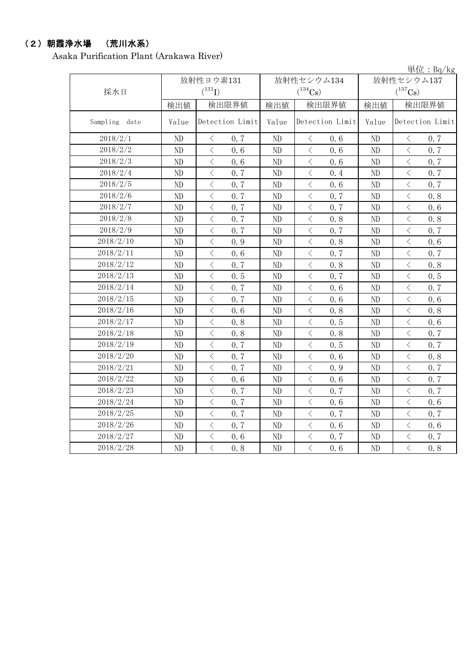# (2)朝霞浄水場 (荒川水系)

Asaka Purification Plant (Arakawa River)

|               |                |                                                 |       |                                                 |                            | 単位: Bq/kg                                       |  |
|---------------|----------------|-------------------------------------------------|-------|-------------------------------------------------|----------------------------|-------------------------------------------------|--|
|               |                | 放射性ヨウ素131                                       |       | 放射性セシウム134                                      | 放射性セシウム137<br>$(^{137}Cs)$ |                                                 |  |
| 採水日           |                | $(^{131}I)$                                     |       | $(^{134}Cs)$                                    |                            |                                                 |  |
|               | 検出値            | 検出限界値                                           | 検出値   | 検出限界値                                           | 検出値                        | 検出限界値                                           |  |
| Sampling date | Value          | Detection Limit                                 | Value | Detection Limit                                 | Value                      | Detection Limit                                 |  |
| 2018/2/1      | N <sub>D</sub> | 0.7<br>$\lt$                                    | ND    | $\langle$<br>0, 6                               | ND                         | 0.7<br>$\langle$                                |  |
| 2018/2/2      | ND             | $\langle$<br>0.6                                | ND    | $\langle$<br>0.6                                | ND                         | $\langle$<br>0.7                                |  |
| 2018/2/3      | ND             | $\lt$<br>0.6                                    | ND    | $\,$ $\,$ $\,$<br>0, 6                          | ND                         | $\,$ $\,$ $\,$<br>0.7                           |  |
| 2018/2/4      | ND             | $\langle$<br>0.7                                | ND    | $\langle$<br>0.4                                | ND                         | $\langle$<br>0.7                                |  |
| 2018/2/5      | ND             | $\langle$<br>0.7                                | ND    | $\langle$<br>0.6                                | ND                         | $\langle$<br>0.7                                |  |
| 2018/2/6      | ND             | $\langle$<br>0.7                                | ND    | $\langle$<br>0.7                                | ND                         | $\langle$<br>0.8                                |  |
| 2018/2/7      | ND             | $\langle$<br>0.7                                | ND    | $\langle$<br>0.7                                | ND                         | $\langle$<br>0.6                                |  |
| 2018/2/8      | ND             | $\lt$<br>0.7                                    | ND    | $\,$ $\,$ $\,$<br>0.8                           | ND                         | $\hspace{0.1mm} <\hspace{0.1mm}$<br>0.8         |  |
| 2018/2/9      | ND             | $\lt$<br>0.7                                    | ND    | $\lt$<br>0.7                                    | ND                         | $\lt$<br>0.7                                    |  |
| 2018/2/10     | ND             | $\overline{\left\langle \right\rangle }$<br>0.9 | ND    | $\,$ $\,$ $\,$<br>0.8                           | ND                         | $\,$ $\,$ $\,$<br>0.6                           |  |
| 2018/2/11     | ND             | $\overline{\left\langle \right\rangle }$<br>0.6 | ND    | $\overline{\left\langle \right\rangle }$<br>0.7 | ND                         | $\overline{\left\langle \right\rangle }$<br>0.7 |  |
| 2018/2/12     | ND             | $\langle$<br>0.7                                | ND    | $\langle$<br>0.8                                | ND                         | $\langle$<br>0.8                                |  |
| 2018/2/13     | ND             | $\langle$<br>0.5                                | ND    | $\,$ $\,$ $\,$<br>0.7                           | ND                         | $\,$ $\,$ $\,$<br>0.5                           |  |
| 2018/2/14     | ND             | $\,$ $\,$ $\,$<br>0.7                           | ND    | $\lt$<br>0.6                                    | ND                         | $\lt$<br>0.7                                    |  |
| 2018/2/15     | ND             | $\langle$<br>0.7                                | ND    | $\langle$<br>0.6                                | ND                         | $\langle$<br>0.6                                |  |
| 2018/2/16     | ND             | $\langle$<br>0.6                                | ND    | $\langle$<br>0.8                                | ND                         | $\,$ $\,$ $\,$<br>0.8                           |  |
| 2018/2/17     | ND             | $\langle$<br>0.8                                | ND    | $\langle$<br>0.5                                | ND                         | $\langle$<br>0, 6                               |  |
| 2018/2/18     | ND             | $\lt$<br>0.8                                    | ND    | $\lt$<br>0.8                                    | ND                         | $\langle$<br>0.7                                |  |
| 2018/2/19     | ND             | $\lt$<br>0.7                                    | ND    | $\lt$<br>0.5                                    | ND                         | $\langle$<br>0.7                                |  |
| 2018/2/20     | ND             | $\langle$<br>0.7                                | ND    | $\langle$<br>0.6                                | ND                         | $\,$ $\,$ $\,$<br>0.8                           |  |
| 2018/2/21     | ND             | $\langle$<br>0.7                                | ND    | $\langle$<br>0.9                                | ND                         | $\,$ $\,$ $\,$<br>0.7                           |  |
| 2018/2/22     | ND             | $\langle$<br>0.6                                | ND    | $\langle$<br>0.6                                | ND                         | $\,$ $\,$ $\,$<br>0.7                           |  |
| 2018/2/23     | ND             | $\overline{\left\langle \right\rangle }$<br>0.7 | ND    | $\langle$<br>0.7                                | ND                         | $\langle$<br>0.7                                |  |
| 2018/2/24     | ND             | $\langle$<br>0.7                                | ND    | $\, <\,$<br>0.6                                 | ND                         | $\, <\,$<br>0.6                                 |  |
| 2018/2/25     | ND             | $\langle$<br>0.7                                | ND    | $\langle$<br>0.7                                | ND                         | $\,$ $\,$ $\,$<br>0.7                           |  |
| 2018/2/26     | $\rm ND$       | $\lt$<br>0.7                                    | ND    | $\overline{\left\langle \right\rangle }$<br>0.6 | ND                         | $\overline{\left\langle \right\rangle }$<br>0.6 |  |
| 2018/2/27     | ND             | $\lt$<br>0.6                                    | ND    | $\lt$<br>0.7                                    | ND                         | $\, <\,$<br>0.7                                 |  |
| 2018/2/28     | ND             | $\langle$<br>0.8                                | ND    | $\overline{\left\langle \right\rangle }$<br>0.6 | ND                         | $\overline{\left\langle \right\rangle }$<br>0.8 |  |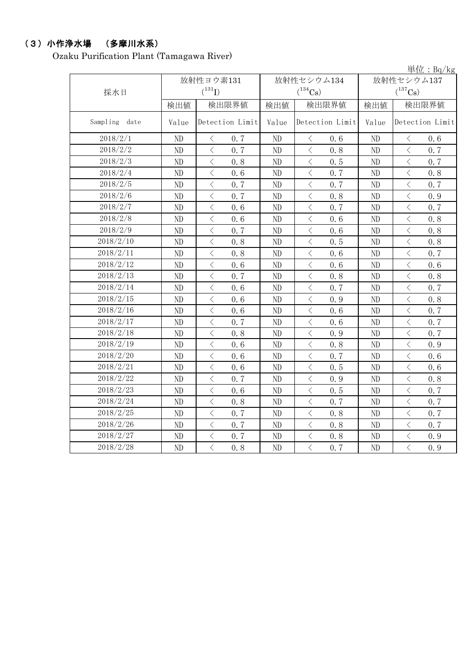# (3)小作浄水場 (多摩川水系)

Ozaku Purification Plant (Tamagawa River)

|               |          |                                                                                                               |       |                                         |                       | $\frac{\dot{\mathbf{\mu}} \dot{\mathbf{\Omega}} : \mathbf{Bq}/\mathbf{kg}}{}$ |  |
|---------------|----------|---------------------------------------------------------------------------------------------------------------|-------|-----------------------------------------|-----------------------|-------------------------------------------------------------------------------|--|
|               |          | 放射性ヨウ素131                                                                                                     |       | 放射性セシウム134                              | 放射性セシウム137            |                                                                               |  |
| 採水日           |          | $(^{131}I)$                                                                                                   |       | $(^{134}Cs)$                            | $(^{137}\mathrm{Cs})$ |                                                                               |  |
|               | 検出値      | 検出限界値                                                                                                         | 検出値   | 検出限界値                                   | 検出値                   | 検出限界値                                                                         |  |
| Sampling date | Value    | Detection Limit                                                                                               | Value | Detection Limit                         | Value                 | Detection Limit                                                               |  |
| 2018/2/1      | ND       | $\,$ $\,$ $\,$<br>0.7                                                                                         | ND    | $\langle$<br>0.6                        | ND                    | $\langle$<br>0.6                                                              |  |
| 2018/2/2      | ND       | $\langle$<br>0.7                                                                                              | ND    | $\langle$<br>0.8                        | ND                    | $\,$ $\,$ $\,$<br>0.7                                                         |  |
| 2018/2/3      | ND       | $\overline{\left\langle \right\rangle }$<br>0.8                                                               | ND    | $\langle$<br>0.5                        | ND                    | $\langle$<br>0, 7                                                             |  |
| 2018/2/4      | ND       | $\langle$<br>0.6                                                                                              | ND    | $\langle$<br>0.7                        | ND                    | $\langle$<br>0.8                                                              |  |
| 2018/2/5      | ND       | $\langle$<br>0.7                                                                                              | ND    | $\langle$<br>0.7                        | ND                    | $\langle$<br>0.7                                                              |  |
| 2018/2/6      | ND       | $\langle$<br>0.7                                                                                              | ND    | $\langle$<br>0.8                        | ND                    | $\langle$<br>0.9                                                              |  |
| 2018/2/7      | ND       | $\overline{\left\langle \right\rangle }$<br>0.6                                                               | ND    | $\,$ $\,$ $\,$<br>0.7                   | ND                    | $\lt$<br>0.7                                                                  |  |
| 2018/2/8      | ND       | $\overline{\left\langle \right\rangle }$<br>0.6                                                               | ND    | $\,$ $\,$ $\,$<br>0.6                   | ND                    | $\langle$<br>0.8                                                              |  |
| 2018/2/9      | ND       | $\lt$<br>0.7                                                                                                  | ND    | $\hspace{0.1mm} <\hspace{0.1mm}$<br>0.6 | ND                    | $\langle$<br>0.8                                                              |  |
| 2018/2/10     | ND       | $\langle$<br>0.8                                                                                              | ND    | $\langle$<br>0.5                        | ND                    | $\, \big\langle \,$<br>0.8                                                    |  |
| 2018/2/11     | ND       | $\langle$<br>0.8                                                                                              | ND    | $\langle$<br>0.6                        | ND                    | $\langle$<br>0.7                                                              |  |
| 2018/2/12     | ND       | $\overline{\left\langle \right\rangle }$<br>0.6                                                               | ND    | $\langle$<br>0.6                        | ND                    | $\lt$<br>0.6                                                                  |  |
| 2018/2/13     | ND       | $\langle$<br>0.7                                                                                              | ND    | $\langle$<br>0.8                        | ND                    | $\langle$<br>0.8                                                              |  |
| 2018/2/14     | ND       | $\langle$<br>0.6                                                                                              | ND    | $\langle$<br>0.7                        | ND                    | $\langle$<br>0.7                                                              |  |
| 2018/2/15     | ND       | $\langle$<br>0.6                                                                                              | ND    | $\langle$<br>0.9                        | ND                    | $\langle$<br>0.8                                                              |  |
| 2018/2/16     | ND       | $\langle$<br>0.6                                                                                              | ND    | $\,$ $\,$ $\,$<br>0.6                   | ND                    | $\langle$<br>0.7                                                              |  |
| 2018/2/17     | ND       | $\langle$<br>0.7                                                                                              | ND    | $\langle$<br>0.6                        | ND                    | $\langle$<br>0.7                                                              |  |
| 2018/2/18     | ND       | $\langle$<br>0.8                                                                                              | ND    | $\,$ $\,$ $\,$<br>0.9                   | ND                    | $\,$ $\,$ $\,$<br>0.7                                                         |  |
| 2018/2/19     | ND       | $\langle$<br>0.6                                                                                              | ND    | $\langle$<br>0.8                        | ND                    | $\langle$<br>0.9                                                              |  |
| 2018/2/20     | ND       | $\hspace{0.1mm}\mathopen{\begin{array}{c}\mathopen{\fbox{$\scriptstyle<\}}\end{array}}\hspace{-0.1mm}$<br>0.6 | ND    | $\langle$<br>0.7                        | ND                    | $\, <\,$<br>0.6                                                               |  |
| 2018/2/21     | ND       | $\langle$<br>0.6                                                                                              | ND    | $\,$ $\,$ $\,$<br>0.5                   | ND                    | $\langle$<br>0.6                                                              |  |
| 2018/2/22     | ND       | $\langle$<br>0.7                                                                                              | ND    | $\langle$<br>0.9                        | ND                    | $\langle$<br>0.8                                                              |  |
| 2018/2/23     | ND       | $\langle$<br>0.6                                                                                              | ND    | $\langle$<br>0.5                        | ND                    | $\langle$<br>0.7                                                              |  |
| 2018/2/24     | ND       | $\langle$<br>0.8                                                                                              | ND    | $\langle$<br>0.7                        | ND                    | $\langle$<br>0.7                                                              |  |
| 2018/2/25     | ND       | $\,$ $\,$ $\,$<br>0.7                                                                                         | ND    | $\langle$<br>0.8                        | ND                    | $\langle$<br>0.7                                                              |  |
| 2018/2/26     | $\rm ND$ | $\langle$<br>0.7                                                                                              | ND    | $\langle$<br>0.8                        | $\rm ND$              | $\overline{\left\langle \right\rangle }$<br>0.7                               |  |
| 2018/2/27     | ND       | $\langle$<br>0.7                                                                                              | ND    | $\langle$<br>0.8                        | ND                    | $\langle$<br>0.9                                                              |  |
| 2018/2/28     | ND       | $\langle$<br>0.8                                                                                              | ND    | $\langle$<br>0.7                        | ND                    | $\langle$<br>0.9                                                              |  |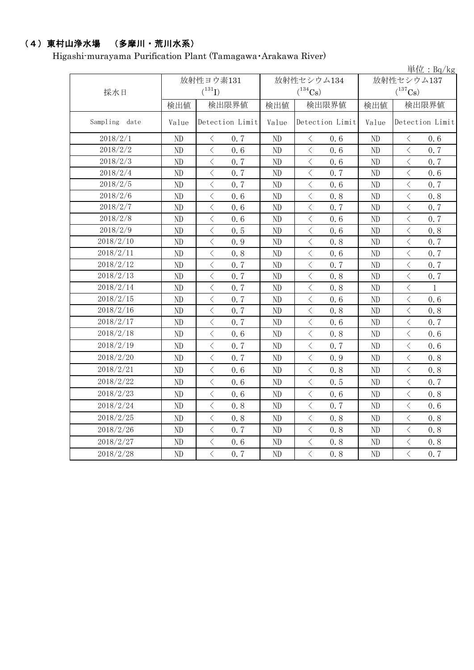# (4)東村山浄水場 (多摩川・荒川水系)

Higashi-murayama Purification Plant (Tamagawa・Arakawa River)

|                  |          |                                                  |       |                                                 |                            | 単位: Bq/kg                                       |  |  |
|------------------|----------|--------------------------------------------------|-------|-------------------------------------------------|----------------------------|-------------------------------------------------|--|--|
| 採水日              |          | 放射性ヨウ素131<br>$(^{131}I)$                         |       | 放射性セシウム134<br>$(^{134}Cs)$                      | 放射性セシウム137<br>$(^{137}Cs)$ |                                                 |  |  |
|                  | 検出値      | 検出限界値                                            | 検出値   | 検出限界値                                           | 検出値                        | 検出限界値                                           |  |  |
| Sampling<br>date | Value    | Detection Limit                                  | Value | Detection Limit                                 | Value                      | Detection Limit                                 |  |  |
| 2018/2/1         | ND       | $\lt$<br>0.7                                     | ND    | $\langle$<br>0.6                                | ND                         | $\lt$<br>0.6                                    |  |  |
| 2018/2/2         | ND       | $\overline{\left\langle \right\rangle }$<br>0, 6 | ND    | $\langle$<br>0, 6                               | ND                         | $\overline{\left\langle \right\rangle }$<br>0.7 |  |  |
| 2018/2/3         | ND       | $\langle$<br>0.7                                 | ND    | $\langle$<br>0.6                                | ND                         | $\langle$<br>0.7                                |  |  |
| 2018/2/4         | ND       | $\lt$<br>0.7                                     | ND    | $\langle$<br>0.7                                | ND                         | $\overline{\left\langle \right\rangle }$<br>0.6 |  |  |
| 2018/2/5         | ND       | $\lt$<br>0.7                                     | ND    | $\langle$<br>0.6                                | ND                         | $\lt$<br>0.7                                    |  |  |
| 2018/2/6         | ND       | $\,$ $\,$ $\,$<br>0.6                            | ND    | $\langle$<br>0.8                                | ND                         | $\,$ $\,$ $\,$<br>0.8                           |  |  |
| 2018/2/7         | ND       | $\langle$<br>0.6                                 | ND    | $\overline{\left\langle \right\rangle }$<br>0.7 | ND                         | $\langle$<br>0.7                                |  |  |
| 2018/2/8         | ND       | $\overline{\left\langle \right\rangle }$<br>0.6  | ND    | $\lt$<br>0.6                                    | ND                         | $\overline{\left\langle \right\rangle }$<br>0.7 |  |  |
| 2018/2/9         | ND       | $\,$ $\,$ $\,$<br>0.5                            | ND    | $\lt$<br>0.6                                    | ND                         | $\langle$<br>0.8                                |  |  |
| 2018/2/10        | ND       | $\overline{\left\langle \right\rangle }$<br>0.9  | ND    | $\langle$<br>0.8                                | ND                         | $\langle$<br>0.7                                |  |  |
| 2018/2/11        | ND       | $\lt$<br>0.8                                     | ND    | $\lt$<br>0, 6                                   | ND                         | $\langle$<br>0.7                                |  |  |
| 2018/2/12        | ND       | $\, < \,$<br>0, 7                                | ND    | $\langle$<br>0.7                                | ND                         | $\lt$<br>0.7                                    |  |  |
| 2018/2/13        | ND       | $\lt$<br>0.7                                     | ND    | $\,$ $\,$ $\,$<br>0.8                           | ND                         | $\,$ $\,$ $\,$<br>0.7                           |  |  |
| 2018/2/14        | ND       | $\overline{\left\langle \right\rangle }$<br>0.7  | ND    | $\langle$<br>0.8                                | ND                         | $\langle$<br>$\mathbf{1}$                       |  |  |
| 2018/2/15        | ND       | $\langle$<br>0.7                                 | ND    | $\langle$<br>0.6                                | ND                         | $\overline{\left\langle \right\rangle }$<br>0.6 |  |  |
| 2018/2/16        | ND       | $\langle$<br>0.7                                 | ND    | $\langle$<br>0.8                                | ND                         | $\lt$<br>0.8                                    |  |  |
| 2018/2/17        | ND       | $\lt$<br>0.7                                     | ND    | $\langle$<br>0.6                                | ND                         | $\lt$<br>0.7                                    |  |  |
| 2018/2/18        | ND       | $\,$ $\,$ $\,$<br>0.6                            | ND    | $\langle$<br>0.8                                | ND                         | $\lt$<br>0.6                                    |  |  |
| 2018/2/19        | $\rm ND$ | $\langle$<br>0.7                                 | ND    | $\langle$<br>0.7                                | ND                         | $\langle$<br>0.6                                |  |  |
| 2018/2/20        | ND       | $\langle$<br>0.7                                 | ND    | $\langle$<br>0.9                                | ND                         | $\langle$<br>0.8                                |  |  |
| 2018/2/21        | ND       | $\langle$<br>0.6                                 | ND    | $\langle$<br>0.8                                | ND                         | $\langle$<br>0, 8                               |  |  |
| 2018/2/22        | ND       | $\,$ $\,$ $\,$<br>0, 6                           | ND    | $\,$ $\,$ $\,$<br>0.5                           | ND                         | $\,$ $\,$ $\,$<br>0.7                           |  |  |
| 2018/2/23        | ND       | $\langle$<br>0.6                                 | ND    | $\langle$<br>0, 6                               | ND                         | $\langle$<br>0, 8                               |  |  |
| 2018/2/24        | ND       | $\hspace{0.1cm}\big\langle$<br>0.8               | ND    | $\langle$<br>0.7                                | ND                         | $\langle$<br>0.6                                |  |  |
| 2018/2/25        | ND       | $\lt$<br>0.8                                     | ND    | $\lt$<br>0.8                                    | ND                         | $\lt$<br>0.8                                    |  |  |
| 2018/2/26        | ND       | $\langle$<br>0.7                                 | ND    | $\langle$<br>0.8                                | ND                         | $\lt$<br>0.8                                    |  |  |
| 2018/2/27        | ND       | $\, \big\langle \,$<br>0.6                       | ND    | $\big\langle$<br>0.8                            | ND                         | $\, <\,$<br>0.8                                 |  |  |
| 2018/2/28        | ND       | $\langle$<br>0.7                                 | ND    | $\langle$<br>0.8                                | ND                         | $\overline{\left\langle \right\rangle }$<br>0.7 |  |  |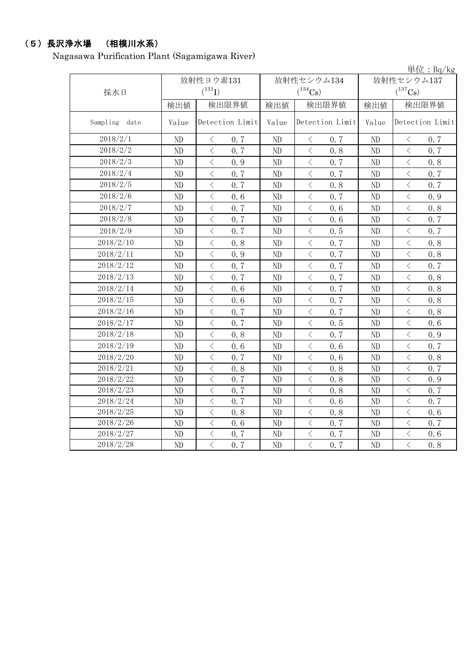# (5)長沢浄水場 (相模川水系)

Nagasawa Purification Plant (Sagamigawa River)

|                  |                          |                                          |                          |                            |                                  |      |                            |                                          | 単位: Bg/kg       |
|------------------|--------------------------|------------------------------------------|--------------------------|----------------------------|----------------------------------|------|----------------------------|------------------------------------------|-----------------|
| 採水日              | 放射性ヨウ素131<br>$(^{131}I)$ |                                          |                          | 放射性セシウム134<br>$(^{134}Cs)$ |                                  |      | 放射性セシウム137<br>$(^{137}Cs)$ |                                          |                 |
|                  | 検出値                      | 検出限界値                                    |                          | 検出値                        | 検出限界値                            |      | 検出値                        |                                          | 検出限界値           |
| Sampling<br>date | Value                    |                                          | Detection Limit<br>Value |                            | Detection Limit                  |      | Value                      |                                          | Detection Limit |
| 2018/2/1         | ND                       | $\langle$                                | 0.7                      | ND                         | $\langle$                        | 0.7  | ND                         | $\langle$                                | 0.7             |
| 2018/2/2         | ND                       | $\lt$                                    | 0.7                      | ND                         | $\langle$                        | 0.8  | ND                         | $\,$ $\,$ $\,$                           | 0.7             |
| 2018/2/3         | ND                       | $\langle$                                | 0.9                      | ND                         | $\langle$                        | 0.7  | ND                         | $\langle$                                | 0.8             |
| 2018/2/4         | ND                       | $\,$ $\,$ $\,$                           | 0.7                      | ND                         | $\langle$                        | 0.7  | ND                         | $\,$ $\,$ $\,$                           | 0.7             |
| 2018/2/5         | ND                       | $\langle$                                | 0.7                      | ND                         | $\langle$                        | 0.8  | ND                         | $\langle$                                | 0.7             |
| 2018/2/6         | ND                       | $\overline{\left\langle \right\rangle }$ | 0.6                      | ND                         | $\lt$                            | 0.7  | ND                         | $\overline{\left\langle \right\rangle }$ | 0.9             |
| 2018/2/7         | ND                       | $\,$ $\,$ $\,$                           | 0.7                      | ND                         | $\, < \,$                        | 0.6  | ND                         | $\,$ $\,$ $\,$                           | 0.8             |
| 2018/2/8         | ND                       | $\langle$                                | 0.7                      | ND                         | $\langle$                        | 0.6  | ND                         | $\langle$                                | 0.7             |
| 2018/2/9         | ND                       | $\langle$                                | 0.7                      | ND                         | $\lt$                            | 0.5  | ND                         | $\lt$                                    | 0.7             |
| 2018/2/10        | ND                       | $\langle$                                | 0.8                      | ND                         | $\langle$                        | 0.7  | ND                         | $\langle$                                | 0.8             |
| 2018/2/11        | ND                       | $\lt$                                    | 0.9                      | ND                         | $\hspace{0.1mm} <\hspace{0.1mm}$ | 0.7  | ND                         | $\, \zeta \,$                            | 0.8             |
| 2018/2/12        | ND                       | $\lt$                                    | 0.7                      | ND                         | $\, < \,$                        | 0.7  | ND                         | $\,$ $\,$ $\,$                           | 0.7             |
| 2018/2/13        | ND                       | $\lt$                                    | 0.7                      | ND                         | $\lt$                            | 0.7  | ND                         | $\,$ $\,$ $\,$                           | 0.8             |
| 2018/2/14        | ND                       | $\langle$                                | 0.6                      | ND                         | $\lt$                            | 0.7  | ND                         | $\langle$                                | 0.8             |
| 2018/2/15        | ND                       | $\langle$                                | 0.6                      | ND                         | $\langle$                        | 0.7  | ND                         | $\overline{\left\langle \right\rangle }$ | 0.8             |
| 2018/2/16        | ND                       | $\langle$                                | 0.7                      | ND                         | $\, < \,$                        | 0.7  | ND                         | $\,$ $\,$ $\,$                           | 0.8             |
| 2018/2/17        | ND                       | $\langle$                                | 0.7                      | ND                         | $\langle$                        | 0.5  | ND                         | $\,$ $\,$ $\,$                           | 0.6             |
| 2018/2/18        | ND                       | $\lt$                                    | 0.8                      | ND                         | $\langle$                        | 0.7  | ND                         | $\overline{\left\langle \right\rangle }$ | 0.9             |
| 2018/2/19        | ND                       | $\langle$                                | 0.6                      | ND                         | $\langle$                        | 0, 6 | ND                         | $\langle$                                | 0.7             |
| 2018/2/20        | ND                       | $\, \zeta \,$                            | 0.7                      | ND                         | $\langle$                        | 0.6  | ND                         | $\,$ $\,$ $\,$                           | 0.8             |
| 2018/2/21        | ND                       | $\, < \,$                                | 0.8                      | ND                         | $\, < \,$                        | 0.8  | ND                         | $\lt$                                    | 0.7             |
| 2018/2/22        | N <sub>D</sub>           | $\langle$                                | 0.7                      | ND                         | $\lt$                            | 0.8  | ND                         | $\lt$                                    | 0.9             |
| 2018/2/23        | ND                       | $\lt$                                    | 0.7                      | ND                         | $\langle$                        | 0.8  | ND                         | $\lt$                                    | 0, 7            |
| 2018/2/24        | ND                       | $\langle$                                | 0.7                      | ND                         | $\lt$                            | 0.6  | ND                         | $\lt$                                    | 0.7             |
| 2018/2/25        | ND                       | $\langle$                                | 0.8                      | ND                         | $\lt$                            | 0.8  | ND                         | $\lt$                                    | 0.6             |
| 2018/2/26        | ND                       | $\langle$                                | 0.6                      | ND                         | $\langle$                        | 0.7  | ND                         | $\overline{\left\langle \right\rangle }$ | 0.7             |
| 2018/2/27        | ND                       | $\overline{\left\langle \right\rangle }$ | 0.7                      | ND                         | $\langle$                        | 0.7  | ND                         | $\overline{\left\langle \right\rangle }$ | 0.6             |
| 2018/2/28        | ND                       | $\langle$                                | 0.7                      | ND                         | $\langle$                        | 0.7  | ND                         | $\langle$                                | 0.8             |